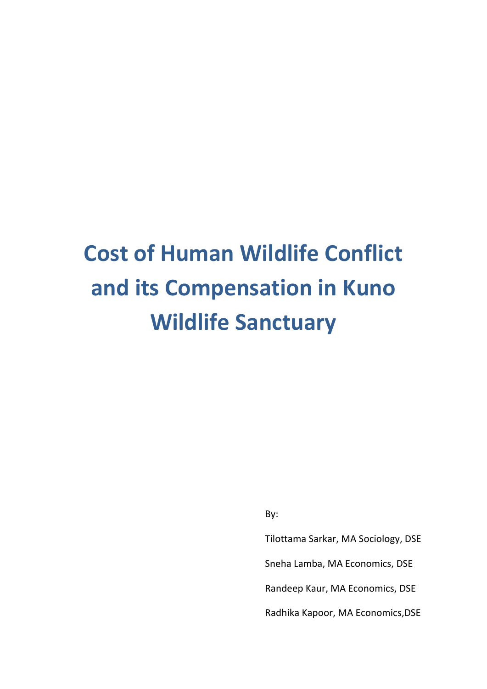# **Cost of Human Wildlife Conflict and its Compensation in Kuno Wildlife Sanctuary**

By:

Tilottama Sarkar, MA Sociology, DSE Sneha Lamba, MA Economics, DSE Randeep Kaur, MA Economics, DSE Radhika Kapoor, MA Economics,DSE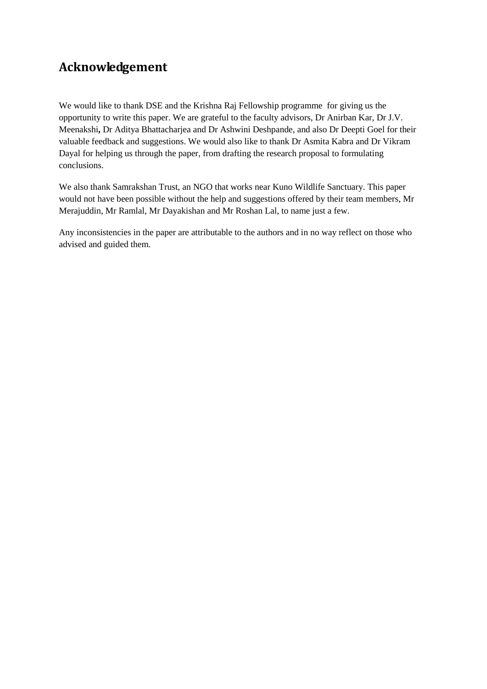# **Acknowledgement**

We would like to thank DSE and the Krishna Raj Fellowship programme for giving us the opportunity to write this paper. We are grateful to the faculty advisors, Dr Anirban Kar, Dr J.V. Meenakshi**,** Dr Aditya Bhattacharjea and Dr Ashwini Deshpande, and also Dr Deepti Goel for their valuable feedback and suggestions. We would also like to thank Dr Asmita Kabra and Dr Vikram Dayal for helping us through the paper, from drafting the research proposal to formulating conclusions.

We also thank Samrakshan Trust, an NGO that works near Kuno Wildlife Sanctuary. This paper would not have been possible without the help and suggestions offered by their team members, Mr Merajuddin, Mr Ramlal, Mr Dayakishan and Mr Roshan Lal, to name just a few.

Any inconsistencies in the paper are attributable to the authors and in no way reflect on those who advised and guided them.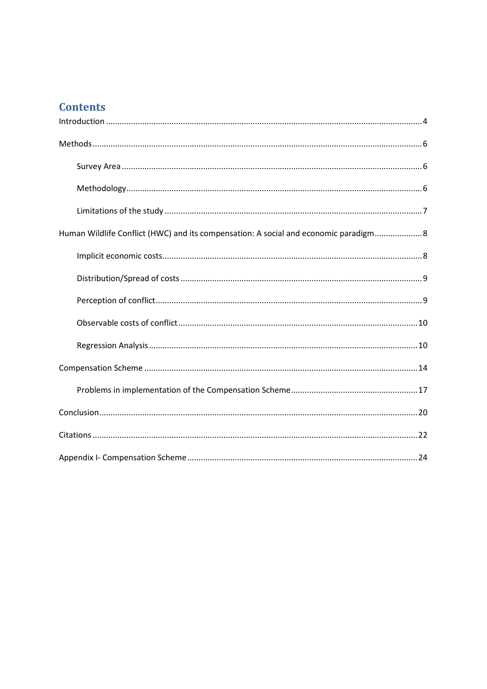# **Contents**

| Human Wildlife Conflict (HWC) and its compensation: A social and economic paradigm 8 |
|--------------------------------------------------------------------------------------|
|                                                                                      |
|                                                                                      |
|                                                                                      |
|                                                                                      |
|                                                                                      |
|                                                                                      |
|                                                                                      |
|                                                                                      |
|                                                                                      |
|                                                                                      |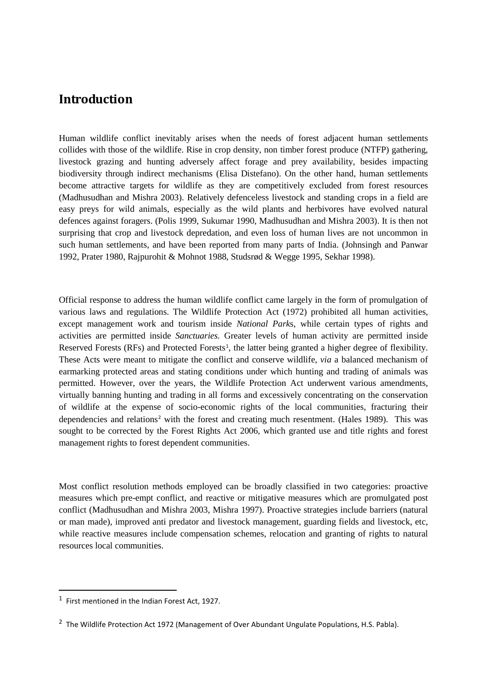## <span id="page-3-0"></span>**Introduction**

Human wildlife conflict inevitably arises when the needs of forest adjacent human settlements collides with those of the wildlife. Rise in crop density, non timber forest produce (NTFP) gathering, livestock grazing and hunting adversely affect forage and prey availability, besides impacting biodiversity through indirect mechanisms (Elisa Distefano). On the other hand, human settlements become attractive targets for wildlife as they are competitively excluded from forest resources (Madhusudhan and Mishra 2003). Relatively defenceless livestock and standing crops in a field are easy preys for wild animals, especially as the wild plants and herbivores have evolved natural defences against foragers. (Polis 1999, Sukumar 1990, Madhusudhan and Mishra 2003). It is then not surprising that crop and livestock depredation, and even loss of human lives are not uncommon in such human settlements, and have been reported from many parts of India. (Johnsingh and Panwar 1992, Prater 1980, Rajpurohit & Mohnot 1988, Studsrød & Wegge 1995, Sekhar 1998).

Official response to address the human wildlife conflict came largely in the form of promulgation of various laws and regulations. The Wildlife Protection Act (1972) prohibited all human activities, except management work and tourism inside *National Park*s, while certain types of rights and activities are permitted inside *Sanctuaries.* Greater levels of human activity are permitted inside Reserved Forests (RFs) and Protected Forests<sup>[1](#page-3-1)</sup>, the latter being granted a higher degree of flexibility. These Acts were meant to mitigate the conflict and conserve wildlife, *via* a balanced mechanism of earmarking protected areas and stating conditions under which hunting and trading of animals was permitted. However, over the years, the Wildlife Protection Act underwent various amendments, virtually banning hunting and trading in all forms and excessively concentrating on the conservation of wildlife at the expense of socio-economic rights of the local communities, fracturing their dependencies and relations<sup>[2](#page-3-2)</sup> with the forest and creating much resentment. (Hales 1989). This was sought to be corrected by the Forest Rights Act 2006, which granted use and title rights and forest management rights to forest dependent communities.

Most conflict resolution methods employed can be broadly classified in two categories: proactive measures which pre-empt conflict, and reactive or mitigative measures which are promulgated post conflict (Madhusudhan and Mishra 2003, Mishra 1997). Proactive strategies include barriers (natural or man made), improved anti predator and livestock management, guarding fields and livestock, etc, while reactive measures include compensation schemes, relocation and granting of rights to natural resources local communities.

<span id="page-3-1"></span> <sup>1</sup> First mentioned in the Indian Forest Act, 1927.

<span id="page-3-2"></span><sup>&</sup>lt;sup>2</sup> The Wildlife Protection Act 1972 (Management of Over Abundant Ungulate Populations, H.S. Pabla).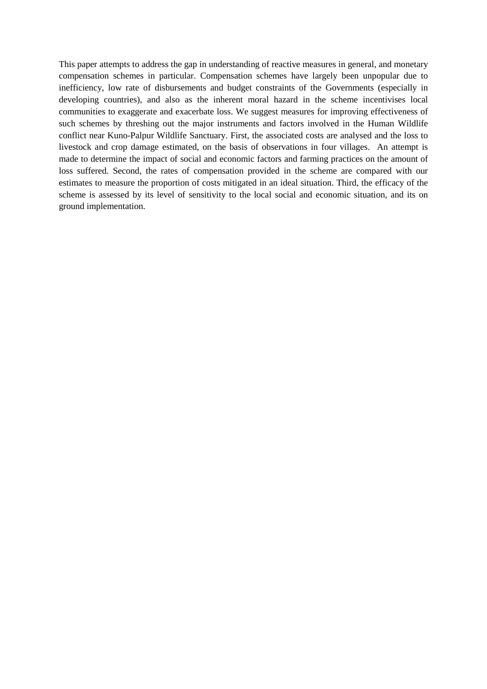This paper attempts to address the gap in understanding of reactive measures in general, and monetary compensation schemes in particular. Compensation schemes have largely been unpopular due to inefficiency, low rate of disbursements and budget constraints of the Governments (especially in developing countries), and also as the inherent moral hazard in the scheme incentivises local communities to exaggerate and exacerbate loss. We suggest measures for improving effectiveness of such schemes by threshing out the major instruments and factors involved in the Human Wildlife conflict near Kuno-Palpur Wildlife Sanctuary. First, the associated costs are analysed and the loss to livestock and crop damage estimated, on the basis of observations in four villages. An attempt is made to determine the impact of social and economic factors and farming practices on the amount of loss suffered. Second, the rates of compensation provided in the scheme are compared with our estimates to measure the proportion of costs mitigated in an ideal situation. Third, the efficacy of the scheme is assessed by its level of sensitivity to the local social and economic situation, and its on ground implementation.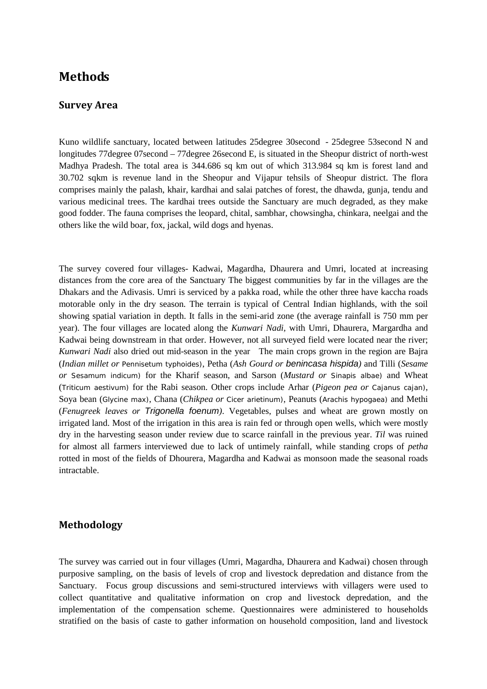## <span id="page-5-0"></span>**Methods**

#### <span id="page-5-1"></span>**Survey Area**

Kuno wildlife sanctuary, located between latitudes 25degree 30second - 25degree 53second N and longitudes 77degree 07second – 77degree 26second E, is situated in the Sheopur district of north-west Madhya Pradesh. The total area is 344.686 sq km out of which 313.984 sq km is forest land and 30.702 sqkm is revenue land in the Sheopur and Vijapur tehsils of Sheopur district. The flora comprises mainly the palash, khair, kardhai and salai patches of forest, the dhawda, gunja, tendu and various medicinal trees. The kardhai trees outside the Sanctuary are much degraded, as they make good fodder. The fauna comprises the leopard, chital, sambhar, chowsingha, chinkara, neelgai and the others like the wild boar, fox, jackal, wild dogs and hyenas.

The survey covered four villages- Kadwai, Magardha, Dhaurera and Umri, located at increasing distances from the core area of the Sanctuary The biggest communities by far in the villages are the Dhakars and the Adivasis. Umri is serviced by a pakka road, while the other three have kaccha roads motorable only in the dry season. The terrain is typical of Central Indian highlands, with the soil showing spatial variation in depth. It falls in the semi-arid zone (the average rainfall is 750 mm per year). The four villages are located along the *Kunwari Nadi,* with Umri, Dhaurera, Margardha and Kadwai being downstream in that order. However, not all surveyed field were located near the river; *Kunwari Nadi* also dried out mid-season in the year The main crops grown in the region are Bajra (*Indian millet or Pennisetum typhoides*), Petha (*Ash Gourd or benincasa hispida)* and Tilli (*Sesame or Sesamum indicum*) for the Kharif season, and Sarson (*Mustard or Sinapis albae*) and Wheat (*Triticum aestivum*) for the Rabi season. Other crops include Arhar (*Pigeon pea or Cajanus cajan*), Soya bean (*Glycine max*), Chana (*Chikpea or Cicer arietinum*), Peanuts (*Arachis hypogaea*) and Methi (*Fenugreek leaves or Trigonella foenum)*. Vegetables, pulses and wheat are grown mostly on irrigated land. Most of the irrigation in this area is rain fed or through open wells, which were mostly dry in the harvesting season under review due to scarce rainfall in the previous year. *Til* was ruined for almost all farmers interviewed due to lack of untimely rainfall, while standing crops of *petha* rotted in most of the fields of Dhourera, Magardha and Kadwai as monsoon made the seasonal roads intractable.

## <span id="page-5-2"></span>**Methodology**

The survey was carried out in four villages (Umri, Magardha, Dhaurera and Kadwai) chosen through purposive sampling, on the basis of levels of crop and livestock depredation and distance from the Sanctuary. Focus group discussions and semi-structured interviews with villagers were used to collect quantitative and qualitative information on crop and livestock depredation, and the implementation of the compensation scheme. Questionnaires were administered to households stratified on the basis of caste to gather information on household composition, land and livestock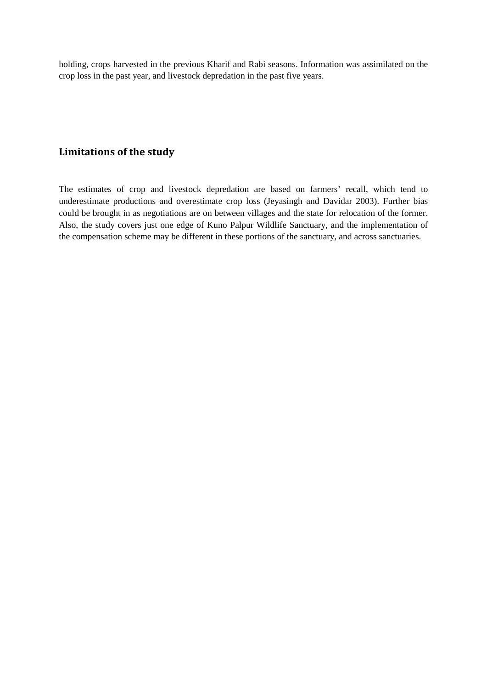holding, crops harvested in the previous Kharif and Rabi seasons. Information was assimilated on the crop loss in the past year, and livestock depredation in the past five years.

## <span id="page-6-0"></span>**Limitations of the study**

The estimates of crop and livestock depredation are based on farmers' recall, which tend to underestimate productions and overestimate crop loss (Jeyasingh and Davidar 2003). Further bias could be brought in as negotiations are on between villages and the state for relocation of the former. Also, the study covers just one edge of Kuno Palpur Wildlife Sanctuary, and the implementation of the compensation scheme may be different in these portions of the sanctuary, and across sanctuaries.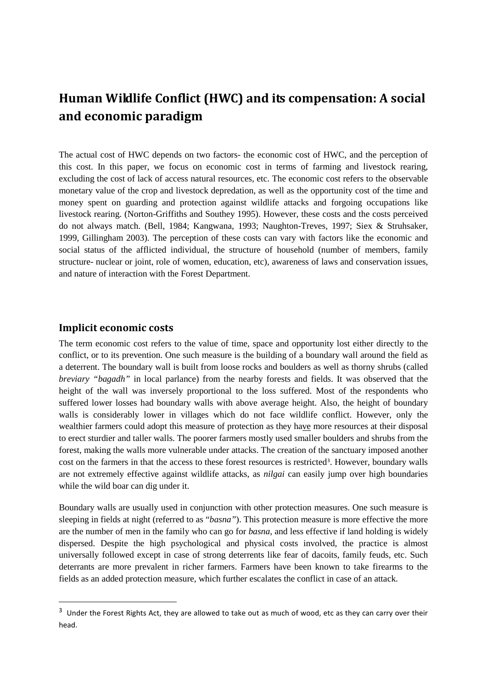# <span id="page-7-0"></span>**Human Wildlife Conflict (HWC) and its compensation: A social and economic paradigm**

The actual cost of HWC depends on two factors- the economic cost of HWC, and the perception of this cost. In this paper, we focus on economic cost in terms of farming and livestock rearing, excluding the cost of lack of access natural resources, etc. The economic cost refers to the observable monetary value of the crop and livestock depredation, as well as the opportunity cost of the time and money spent on guarding and protection against wildlife attacks and forgoing occupations like livestock rearing. (Norton-Griffiths and Southey 1995). However, these costs and the costs perceived do not always match. (Bell, 1984; Kangwana, 1993; Naughton-Treves, 1997; Siex & Struhsaker, 1999, Gillingham 2003)*.* The perception of these costs can vary with factors like the economic and social status of the afflicted individual, the structure of household (number of members, family structure- nuclear or joint, role of women, education, etc), awareness of laws and conservation issues, and nature of interaction with the Forest Department.

#### <span id="page-7-1"></span>**Implicit economic costs**

The term economic cost refers to the value of time, space and opportunity lost either directly to the conflict, or to its prevention. One such measure is the building of a boundary wall around the field as a deterrent. The boundary wall is built from loose rocks and boulders as well as thorny shrubs (called *breviary "bagadh"* in local parlance) from the nearby forests and fields. It was observed that the height of the wall was inversely proportional to the loss suffered. Most of the respondents who suffered lower losses had boundary walls with above average height. Also, the height of boundary walls is considerably lower in villages which do not face wildlife conflict. However, only the wealthier farmers could adopt this measure of protection as they have more resources at their disposal to erect sturdier and taller walls. The poorer farmers mostly used smaller boulders and shrubs from the forest, making the walls more vulnerable under attacks. The creation of the sanctuary imposed another cost on the farmers in that the access to these forest resources is restricted<sup>[3](#page-7-2)</sup>. However, boundary walls are not extremely effective against wildlife attacks, as *nilgai* can easily jump over high boundaries while the wild boar can dig under it.

Boundary walls are usually used in conjunction with other protection measures. One such measure is sleeping in fields at night (referred to as "*basna"*). This protection measure is more effective the more are the number of men in the family who can go for *basna,* and less effective if land holding is widely dispersed. Despite the high psychological and physical costs involved, the practice is almost universally followed except in case of strong deterrents like fear of dacoits, family feuds, etc. Such deterrants are more prevalent in richer farmers. Farmers have been known to take firearms to the fields as an added protection measure, which further escalates the conflict in case of an attack.

<span id="page-7-2"></span><sup>&</sup>lt;sup>3</sup> Under the Forest Rights Act, they are allowed to take out as much of wood, etc as they can carry over their head.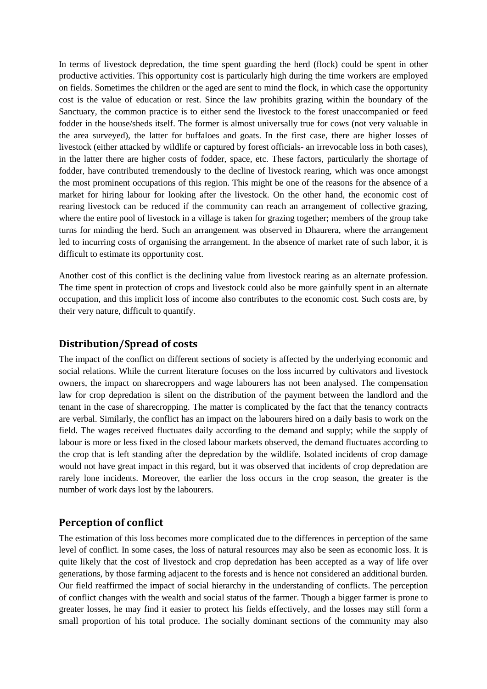In terms of livestock depredation, the time spent guarding the herd (flock) could be spent in other productive activities. This opportunity cost is particularly high during the time workers are employed on fields. Sometimes the children or the aged are sent to mind the flock, in which case the opportunity cost is the value of education or rest. Since the law prohibits grazing within the boundary of the Sanctuary, the common practice is to either send the livestock to the forest unaccompanied or feed fodder in the house/sheds itself. The former is almost universally true for cows (not very valuable in the area surveyed), the latter for buffaloes and goats. In the first case, there are higher losses of livestock (either attacked by wildlife or captured by forest officials- an irrevocable loss in both cases), in the latter there are higher costs of fodder, space, etc. These factors, particularly the shortage of fodder, have contributed tremendously to the decline of livestock rearing, which was once amongst the most prominent occupations of this region. This might be one of the reasons for the absence of a market for hiring labour for looking after the livestock. On the other hand, the economic cost of rearing livestock can be reduced if the community can reach an arrangement of collective grazing, where the entire pool of livestock in a village is taken for grazing together; members of the group take turns for minding the herd. Such an arrangement was observed in Dhaurera, where the arrangement led to incurring costs of organising the arrangement. In the absence of market rate of such labor, it is difficult to estimate its opportunity cost.

Another cost of this conflict is the declining value from livestock rearing as an alternate profession. The time spent in protection of crops and livestock could also be more gainfully spent in an alternate occupation, and this implicit loss of income also contributes to the economic cost. Such costs are, by their very nature, difficult to quantify.

## <span id="page-8-0"></span>**Distribution/Spread of costs**

The impact of the conflict on different sections of society is affected by the underlying economic and social relations. While the current literature focuses on the loss incurred by cultivators and livestock owners, the impact on sharecroppers and wage labourers has not been analysed. The compensation law for crop depredation is silent on the distribution of the payment between the landlord and the tenant in the case of sharecropping. The matter is complicated by the fact that the tenancy contracts are verbal. Similarly, the conflict has an impact on the labourers hired on a daily basis to work on the field. The wages received fluctuates daily according to the demand and supply; while the supply of labour is more or less fixed in the closed labour markets observed, the demand fluctuates according to the crop that is left standing after the depredation by the wildlife. Isolated incidents of crop damage would not have great impact in this regard, but it was observed that incidents of crop depredation are rarely lone incidents. Moreover, the earlier the loss occurs in the crop season, the greater is the number of work days lost by the labourers.

## <span id="page-8-1"></span>**Perception of conflict**

The estimation of this loss becomes more complicated due to the differences in perception of the same level of conflict. In some cases, the loss of natural resources may also be seen as economic loss. It is quite likely that the cost of livestock and crop depredation has been accepted as a way of life over generations, by those farming adjacent to the forests and is hence not considered an additional burden. Our field reaffirmed the impact of social hierarchy in the understanding of conflicts. The perception of conflict changes with the wealth and social status of the farmer. Though a bigger farmer is prone to greater losses, he may find it easier to protect his fields effectively, and the losses may still form a small proportion of his total produce. The socially dominant sections of the community may also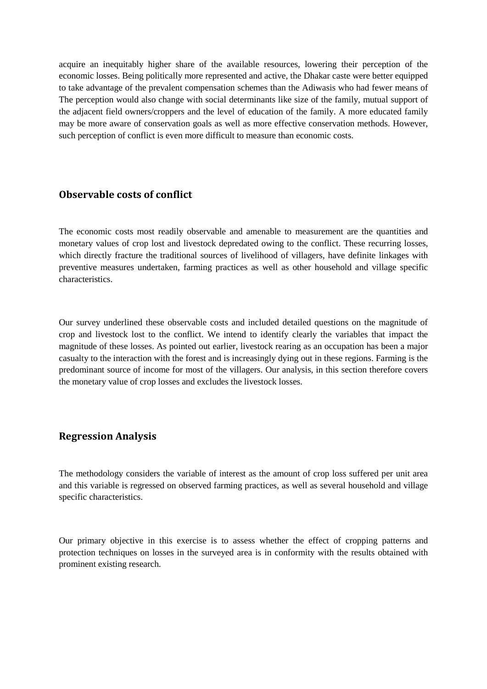acquire an inequitably higher share of the available resources, lowering their perception of the economic losses. Being politically more represented and active, the Dhakar caste were better equipped to take advantage of the prevalent compensation schemes than the Adiwasis who had fewer means of The perception would also change with social determinants like size of the family, mutual support of the adjacent field owners/croppers and the level of education of the family. A more educated family may be more aware of conservation goals as well as more effective conservation methods. However, such perception of conflict is even more difficult to measure than economic costs.

## <span id="page-9-0"></span>**Observable costs of conflict**

The economic costs most readily observable and amenable to measurement are the quantities and monetary values of crop lost and livestock depredated owing to the conflict. These recurring losses, which directly fracture the traditional sources of livelihood of villagers, have definite linkages with preventive measures undertaken, farming practices as well as other household and village specific characteristics.

Our survey underlined these observable costs and included detailed questions on the magnitude of crop and livestock lost to the conflict. We intend to identify clearly the variables that impact the magnitude of these losses. As pointed out earlier, livestock rearing as an occupation has been a major casualty to the interaction with the forest and is increasingly dying out in these regions. Farming is the predominant source of income for most of the villagers. Our analysis, in this section therefore covers the monetary value of crop losses and excludes the livestock losses.

### <span id="page-9-1"></span>**Regression Analysis**

The methodology considers the variable of interest as the amount of crop loss suffered per unit area and this variable is regressed on observed farming practices, as well as several household and village specific characteristics.

Our primary objective in this exercise is to assess whether the effect of cropping patterns and protection techniques on losses in the surveyed area is in conformity with the results obtained with prominent existing research.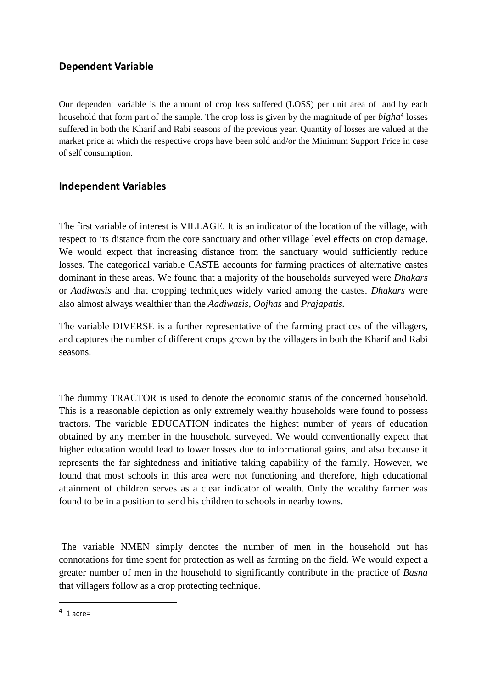## **Dependent Variable**

Our dependent variable is the amount of crop loss suffered (LOSS) per unit area of land by each household that form part of the sample. The crop loss is given by the magnitude of per *bigha*[4](#page-10-0) losses suffered in both the Kharif and Rabi seasons of the previous year. Quantity of losses are valued at the market price at which the respective crops have been sold and/or the Minimum Support Price in case of self consumption.

## **Independent Variables**

The first variable of interest is VILLAGE. It is an indicator of the location of the village, with respect to its distance from the core sanctuary and other village level effects on crop damage. We would expect that increasing distance from the sanctuary would sufficiently reduce losses. The categorical variable CASTE accounts for farming practices of alternative castes dominant in these areas. We found that a majority of the households surveyed were *Dhakars* or *Aadiwasis* and that cropping techniques widely varied among the castes. *Dhakars* were also almost always wealthier than the *Aadiwasis, Oojhas* and *Prajapatis.*

The variable DIVERSE is a further representative of the farming practices of the villagers, and captures the number of different crops grown by the villagers in both the Kharif and Rabi seasons.

The dummy TRACTOR is used to denote the economic status of the concerned household. This is a reasonable depiction as only extremely wealthy households were found to possess tractors. The variable EDUCATION indicates the highest number of years of education obtained by any member in the household surveyed. We would conventionally expect that higher education would lead to lower losses due to informational gains, and also because it represents the far sightedness and initiative taking capability of the family. However, we found that most schools in this area were not functioning and therefore, high educational attainment of children serves as a clear indicator of wealth. Only the wealthy farmer was found to be in a position to send his children to schools in nearby towns.

The variable NMEN simply denotes the number of men in the household but has connotations for time spent for protection as well as farming on the field. We would expect a greater number of men in the household to significantly contribute in the practice of *Basna* that villagers follow as a crop protecting technique.

<span id="page-10-0"></span> $4$  1 acre=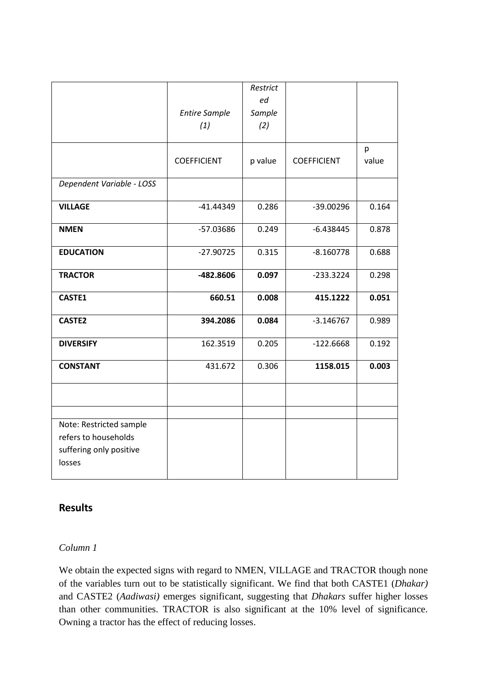|                                                                                      | <b>Entire Sample</b><br>(1) | Restrict<br>ed<br>Sample<br>(2) |                    |            |
|--------------------------------------------------------------------------------------|-----------------------------|---------------------------------|--------------------|------------|
|                                                                                      | <b>COEFFICIENT</b>          | p value                         | <b>COEFFICIENT</b> | p<br>value |
| Dependent Variable - LOSS                                                            |                             |                                 |                    |            |
| <b>VILLAGE</b>                                                                       | $-41.44349$                 | 0.286                           | $-39.00296$        | 0.164      |
| <b>NMEN</b>                                                                          | -57.03686                   | 0.249                           | $-6.438445$        | 0.878      |
| <b>EDUCATION</b>                                                                     | $-27.90725$                 | 0.315                           | $-8.160778$        | 0.688      |
| <b>TRACTOR</b>                                                                       | -482.8606                   | 0.097                           | $-233.3224$        | 0.298      |
| CASTE1                                                                               | 660.51                      | 0.008                           | 415.1222           | 0.051      |
| <b>CASTE2</b>                                                                        | 394.2086                    | 0.084                           | $-3.146767$        | 0.989      |
| <b>DIVERSIFY</b>                                                                     | 162.3519                    | 0.205                           | $-122.6668$        | 0.192      |
| <b>CONSTANT</b>                                                                      | 431.672                     | 0.306                           | 1158.015           | 0.003      |
|                                                                                      |                             |                                 |                    |            |
|                                                                                      |                             |                                 |                    |            |
| Note: Restricted sample<br>refers to households<br>suffering only positive<br>losses |                             |                                 |                    |            |

## **Results**

### *Column 1*

We obtain the expected signs with regard to NMEN, VILLAGE and TRACTOR though none of the variables turn out to be statistically significant. We find that both CASTE1 (*Dhakar)*  and CASTE2 (*Aadiwasi)* emerges significant, suggesting that *Dhakars* suffer higher losses than other communities. TRACTOR is also significant at the 10% level of significance. Owning a tractor has the effect of reducing losses.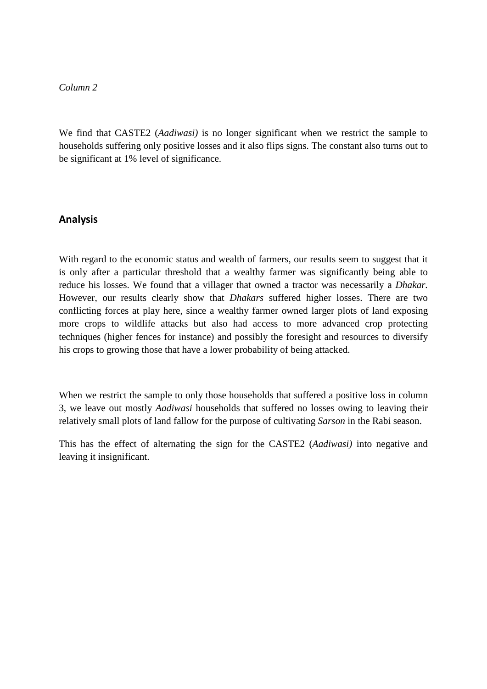#### *Column 2*

We find that CASTE2 (*Aadiwasi)* is no longer significant when we restrict the sample to households suffering only positive losses and it also flips signs. The constant also turns out to be significant at 1% level of significance.

## **Analysis**

With regard to the economic status and wealth of farmers, our results seem to suggest that it is only after a particular threshold that a wealthy farmer was significantly being able to reduce his losses. We found that a villager that owned a tractor was necessarily a *Dhakar.*  However, our results clearly show that *Dhakars* suffered higher losses. There are two conflicting forces at play here, since a wealthy farmer owned larger plots of land exposing more crops to wildlife attacks but also had access to more advanced crop protecting techniques (higher fences for instance) and possibly the foresight and resources to diversify his crops to growing those that have a lower probability of being attacked.

When we restrict the sample to only those households that suffered a positive loss in column 3, we leave out mostly *Aadiwasi* households that suffered no losses owing to leaving their relatively small plots of land fallow for the purpose of cultivating *Sarson* in the Rabi season.

This has the effect of alternating the sign for the CASTE2 (*Aadiwasi)* into negative and leaving it insignificant.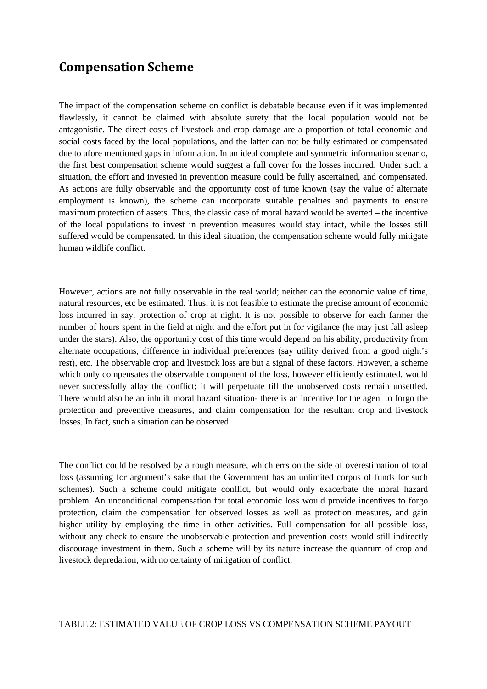# <span id="page-13-0"></span>**Compensation Scheme**

The impact of the compensation scheme on conflict is debatable because even if it was implemented flawlessly, it cannot be claimed with absolute surety that the local population would not be antagonistic. The direct costs of livestock and crop damage are a proportion of total economic and social costs faced by the local populations, and the latter can not be fully estimated or compensated due to afore mentioned gaps in information. In an ideal complete and symmetric information scenario, the first best compensation scheme would suggest a full cover for the losses incurred. Under such a situation, the effort and invested in prevention measure could be fully ascertained, and compensated. As actions are fully observable and the opportunity cost of time known (say the value of alternate employment is known), the scheme can incorporate suitable penalties and payments to ensure maximum protection of assets. Thus, the classic case of moral hazard would be averted – the incentive of the local populations to invest in prevention measures would stay intact, while the losses still suffered would be compensated. In this ideal situation, the compensation scheme would fully mitigate human wildlife conflict.

However, actions are not fully observable in the real world; neither can the economic value of time, natural resources, etc be estimated. Thus, it is not feasible to estimate the precise amount of economic loss incurred in say, protection of crop at night. It is not possible to observe for each farmer the number of hours spent in the field at night and the effort put in for vigilance (he may just fall asleep under the stars). Also, the opportunity cost of this time would depend on his ability, productivity from alternate occupations, difference in individual preferences (say utility derived from a good night's rest), etc. The observable crop and livestock loss are but a signal of these factors. However, a scheme which only compensates the observable component of the loss, however efficiently estimated, would never successfully allay the conflict; it will perpetuate till the unobserved costs remain unsettled. There would also be an inbuilt moral hazard situation- there is an incentive for the agent to forgo the protection and preventive measures, and claim compensation for the resultant crop and livestock losses. In fact, such a situation can be observed

The conflict could be resolved by a rough measure, which errs on the side of overestimation of total loss (assuming for argument's sake that the Government has an unlimited corpus of funds for such schemes). Such a scheme could mitigate conflict, but would only exacerbate the moral hazard problem. An unconditional compensation for total economic loss would provide incentives to forgo protection, claim the compensation for observed losses as well as protection measures, and gain higher utility by employing the time in other activities. Full compensation for all possible loss, without any check to ensure the unobservable protection and prevention costs would still indirectly discourage investment in them. Such a scheme will by its nature increase the quantum of crop and livestock depredation, with no certainty of mitigation of conflict.

#### TABLE 2: ESTIMATED VALUE OF CROP LOSS VS COMPENSATION SCHEME PAYOUT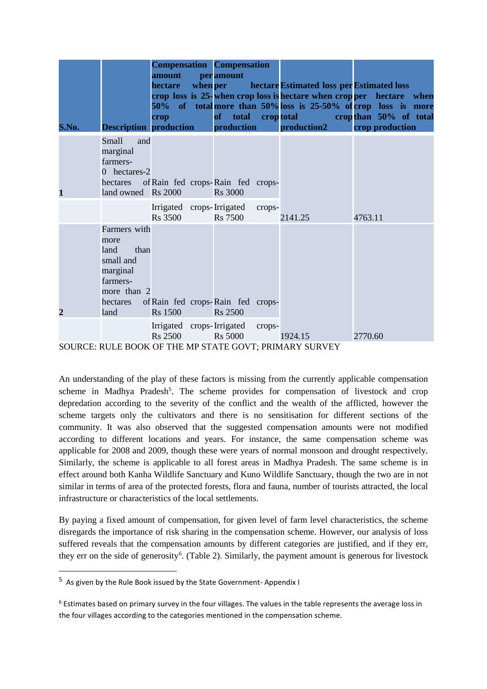| S.No.                                                  | <b>Description production</b>                                                                                | amount<br>hectare<br>crop                   | when per | <b>Compensation Compensation</b><br>per amount<br>of total croptotal<br><b>production</b> |        | hectare Estimated loss per Estimated loss<br>crop loss is 25-when crop loss is hectare when cropper hectare when<br>50% of total more than 50% loss is 25-50% of crop loss is more<br>production2 |         | crop than 50% of total<br>crop production |  |
|--------------------------------------------------------|--------------------------------------------------------------------------------------------------------------|---------------------------------------------|----------|-------------------------------------------------------------------------------------------|--------|---------------------------------------------------------------------------------------------------------------------------------------------------------------------------------------------------|---------|-------------------------------------------|--|
| 1                                                      | <b>Small</b><br>and<br>marginal<br>farmers-<br>0 hectares-2<br>hectares<br>land owned Rs 2000                |                                             |          | of Rain fed crops-Rain fed crops-<br><b>Rs</b> 3000                                       |        |                                                                                                                                                                                                   |         |                                           |  |
|                                                        |                                                                                                              | Irrigated crops-Irrigated<br><b>Rs</b> 3500 |          | <b>Rs</b> 7500                                                                            | crops- | 2141.25                                                                                                                                                                                           | 4763.11 |                                           |  |
| $\overline{2}$                                         | Farmers with<br>more<br>than<br>land<br>small and<br>marginal<br>farmers-<br>more than 2<br>hectares<br>land | <b>Rs</b> 1500                              |          | of Rain fed crops-Rain fed crops-<br><b>Rs</b> 2500                                       |        |                                                                                                                                                                                                   |         |                                           |  |
|                                                        |                                                                                                              | <b>Rs</b> 2500                              |          | Irrigated crops-Irrigated<br><b>Rs 5000</b>                                               | crops- | 1924.15                                                                                                                                                                                           | 2770.60 |                                           |  |
| SOURCE: RULE BOOK OF THE MP STATE GOVT; PRIMARY SURVEY |                                                                                                              |                                             |          |                                                                                           |        |                                                                                                                                                                                                   |         |                                           |  |

An understanding of the play of these factors is missing from the currently applicable compensation scheme in Madhya Pradesh<sup>[5](#page-14-0)</sup>. The scheme provides for compensation of livestock and crop depredation according to the severity of the conflict and the wealth of the afflicted, however the scheme targets only the cultivators and there is no sensitisation for different sections of the community. It was also observed that the suggested compensation amounts were not modified according to different locations and years. For instance, the same compensation scheme was applicable for 2008 and 2009, though these were years of normal monsoon and drought respectively. Similarly, the scheme is applicable to all forest areas in Madhya Pradesh. The same scheme is in effect around both Kanha Wildlife Sanctuary and Kuno Wildlife Sanctuary, though the two are in not similar in terms of area of the protected forests, flora and fauna, number of tourists attracted, the local infrastructure or characteristics of the local settlements.

By paying a fixed amount of compensation, for given level of farm level characteristics, the scheme disregards the importance of risk sharing in the compensation scheme. However, our analysis of loss suffered reveals that the compensation amounts by different categories are justified, and if they err, they err on the side of generosity<sup>[6](#page-14-1)</sup>. (Table 2). Similarly, the payment amount is generous for livestock

<span id="page-14-0"></span> <sup>5</sup> As given by the Rule Book issued by the State Government- Appendix I

<span id="page-14-1"></span> $6$  Estimates based on primary survey in the four villages. The values in the table represents the average loss in the four villages according to the categories mentioned in the compensation scheme.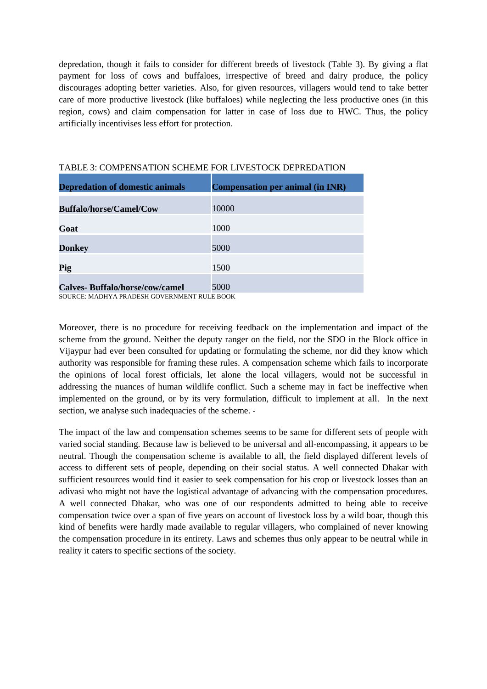depredation, though it fails to consider for different breeds of livestock (Table 3). By giving a flat payment for loss of cows and buffaloes, irrespective of breed and dairy produce, the policy discourages adopting better varieties. Also, for given resources, villagers would tend to take better care of more productive livestock (like buffaloes) while neglecting the less productive ones (in this region, cows) and claim compensation for latter in case of loss due to HWC. Thus, the policy artificially incentivises less effort for protection.

| <b>Depredation of domestic animals</b> | <b>Compensation per animal (in INR)</b> |
|----------------------------------------|-----------------------------------------|
| <b>Buffalo/horse/Camel/Cow</b>         | 10000                                   |
| Goat                                   | 1000                                    |
| <b>Donkey</b>                          | 5000                                    |
| Pig                                    | 1500                                    |
| <b>Calves-Buffalo/horse/cow/camel</b>  | 5000                                    |

#### TABLE 3: COMPENSATION SCHEME FOR LIVESTOCK DEPREDATION

SOURCE: MADHYA PRADESH GOVERNMENT RULE BOOK

Moreover, there is no procedure for receiving feedback on the implementation and impact of the scheme from the ground. Neither the deputy ranger on the field, nor the SDO in the Block office in Vijaypur had ever been consulted for updating or formulating the scheme, nor did they know which authority was responsible for framing these rules. A compensation scheme which fails to incorporate the opinions of local forest officials, let alone the local villagers, would not be successful in addressing the nuances of human wildlife conflict. Such a scheme may in fact be ineffective when implemented on the ground, or by its very formulation, difficult to implement at all. In the next section, we analyse such inadequacies of the scheme. -

The impact of the law and compensation schemes seems to be same for different sets of people with varied social standing. Because law is believed to be universal and all-encompassing, it appears to be neutral. Though the compensation scheme is available to all, the field displayed different levels of access to different sets of people, depending on their social status. A well connected Dhakar with sufficient resources would find it easier to seek compensation for his crop or livestock losses than an adivasi who might not have the logistical advantage of advancing with the compensation procedures. A well connected Dhakar, who was one of our respondents admitted to being able to receive compensation twice over a span of five years on account of livestock loss by a wild boar, though this kind of benefits were hardly made available to regular villagers, who complained of never knowing the compensation procedure in its entirety. Laws and schemes thus only appear to be neutral while in reality it caters to specific sections of the society.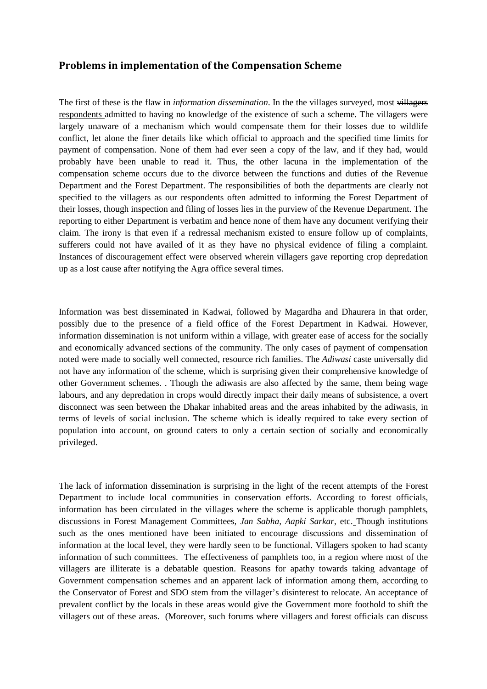## <span id="page-16-0"></span>**Problems in implementation of the Compensation Scheme**

The first of these is the flaw in *information dissemination*. In the the villages surveyed, most villagers respondents admitted to having no knowledge of the existence of such a scheme. The villagers were largely unaware of a mechanism which would compensate them for their losses due to wildlife conflict, let alone the finer details like which official to approach and the specified time limits for payment of compensation. None of them had ever seen a copy of the law, and if they had, would probably have been unable to read it. Thus, the other lacuna in the implementation of the compensation scheme occurs due to the divorce between the functions and duties of the Revenue Department and the Forest Department. The responsibilities of both the departments are clearly not specified to the villagers as our respondents often admitted to informing the Forest Department of their losses, though inspection and filing of losses lies in the purview of the Revenue Department. The reporting to either Department is verbatim and hence none of them have any document verifying their claim. The irony is that even if a redressal mechanism existed to ensure follow up of complaints, sufferers could not have availed of it as they have no physical evidence of filing a complaint. Instances of discouragement effect were observed wherein villagers gave reporting crop depredation up as a lost cause after notifying the Agra office several times.

Information was best disseminated in Kadwai, followed by Magardha and Dhaurera in that order, possibly due to the presence of a field office of the Forest Department in Kadwai. However, information dissemination is not uniform within a village, with greater ease of access for the socially and economically advanced sections of the community. The only cases of payment of compensation noted were made to socially well connected, resource rich families. The *Adiwasi* caste universally did not have any information of the scheme, which is surprising given their comprehensive knowledge of other Government schemes. . Though the adiwasis are also affected by the same, them being wage labours, and any depredation in crops would directly impact their daily means of subsistence, a overt disconnect was seen between the Dhakar inhabited areas and the areas inhabited by the adiwasis, in terms of levels of social inclusion. The scheme which is ideally required to take every section of population into account, on ground caters to only a certain section of socially and economically privileged.

The lack of information dissemination is surprising in the light of the recent attempts of the Forest Department to include local communities in conservation efforts. According to forest officials, information has been circulated in the villages where the scheme is applicable thorugh pamphlets, discussions in Forest Management Committees, *Jan Sabha, Aapki Sarkar*, etc. Though institutions such as the ones mentioned have been initiated to encourage discussions and dissemination of information at the local level, they were hardly seen to be functional. Villagers spoken to had scanty information of such committees. The effectiveness of pamphlets too, in a region where most of the villagers are illiterate is a debatable question. Reasons for apathy towards taking advantage of Government compensation schemes and an apparent lack of information among them, according to the Conservator of Forest and SDO stem from the villager's disinterest to relocate. An acceptance of prevalent conflict by the locals in these areas would give the Government more foothold to shift the villagers out of these areas. (Moreover, such forums where villagers and forest officials can discuss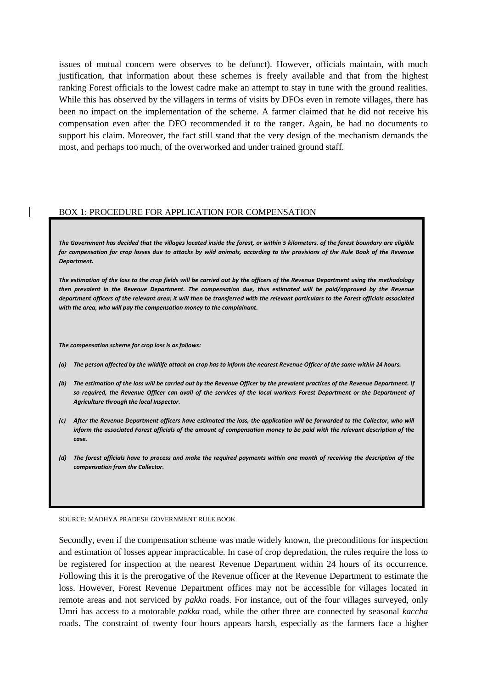issues of mutual concern were observes to be defunct). However, officials maintain, with much justification, that information about these schemes is freely available and that from the highest ranking Forest officials to the lowest cadre make an attempt to stay in tune with the ground realities. While this has observed by the villagers in terms of visits by DFOs even in remote villages, there has been no impact on the implementation of the scheme. A farmer claimed that he did not receive his compensation even after the DFO recommended it to the ranger. Again, he had no documents to support his claim. Moreover, the fact still stand that the very design of the mechanism demands the most, and perhaps too much, of the overworked and under trained ground staff.

#### BOX 1: PROCEDURE FOR APPLICATION FOR COMPENSATION

*The Government has decided that the villages located inside the forest, or within 5 kilometers. of the forest boundary are eligible for compensation for crop losses due to attacks by wild animals, according to the provisions of the Rule Book of the Revenue Department.*

*The estimation of the loss to the crop fields will be carried out by the officers of the Revenue Department using the methodology* then prevalent in the Revenue Department. The compensation due, thus estimated will be paid/approved by the Revenue *department officers of the relevant area; it will then be transferred with the relevant particulars to the Forest officials associated with the area, who will pay the compensation money to the complainant.*

*The compensation scheme for crop loss is as follows:* 

*(a) The person affected by the wildlife attack on crop has to inform the nearest Revenue Officer of the same within 24 hours.*

- *(b) The estimation of the loss will be carried out by the Revenue Officer by the prevalent practices of the Revenue Department. If so required, the Revenue Officer can avail of the services of the local workers Forest Department or the Department of Agriculture through the local Inspector.*
- *(c) After the Revenue Department officers have estimated the loss, the application will be forwarded to the Collector, who will inform the associated Forest officials of the amount of compensation money to be paid with the relevant description of the case.*
- *(d) The forest officials have to process and make the required payments within one month of receiving the description of the compensation from the Collector.*

#### SOURCE: MADHYA PRADESH GOVERNMENT RULE BOOK

Secondly, even if the compensation scheme was made widely known, the preconditions for inspection and estimation of losses appear impracticable. In case of crop depredation, the rules require the loss to be registered for inspection at the nearest Revenue Department within 24 hours of its occurrence. Following this it is the prerogative of the Revenue officer at the Revenue Department to estimate the loss. However, Forest Revenue Department offices may not be accessible for villages located in remote areas and not serviced by *pakka* roads. For instance, out of the four villages surveyed, only Umri has access to a motorable *pakka* road, while the other three are connected by seasonal *kaccha* roads. The constraint of twenty four hours appears harsh, especially as the farmers face a higher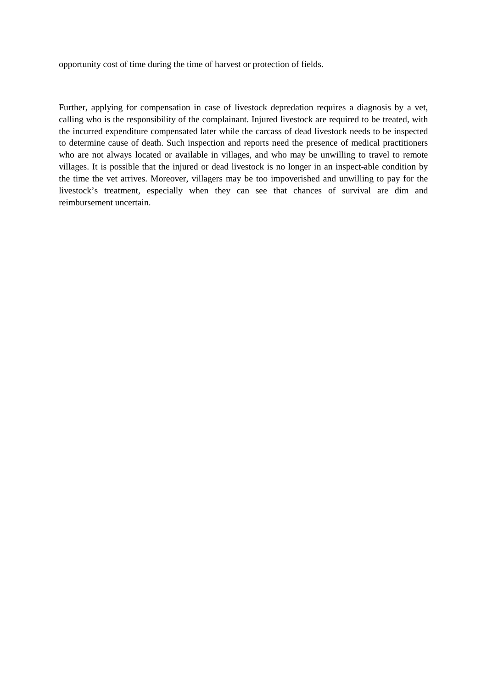opportunity cost of time during the time of harvest or protection of fields.

Further, applying for compensation in case of livestock depredation requires a diagnosis by a vet, calling who is the responsibility of the complainant. Injured livestock are required to be treated, with the incurred expenditure compensated later while the carcass of dead livestock needs to be inspected to determine cause of death. Such inspection and reports need the presence of medical practitioners who are not always located or available in villages, and who may be unwilling to travel to remote villages. It is possible that the injured or dead livestock is no longer in an inspect-able condition by the time the vet arrives. Moreover, villagers may be too impoverished and unwilling to pay for the livestock's treatment, especially when they can see that chances of survival are dim and reimbursement uncertain.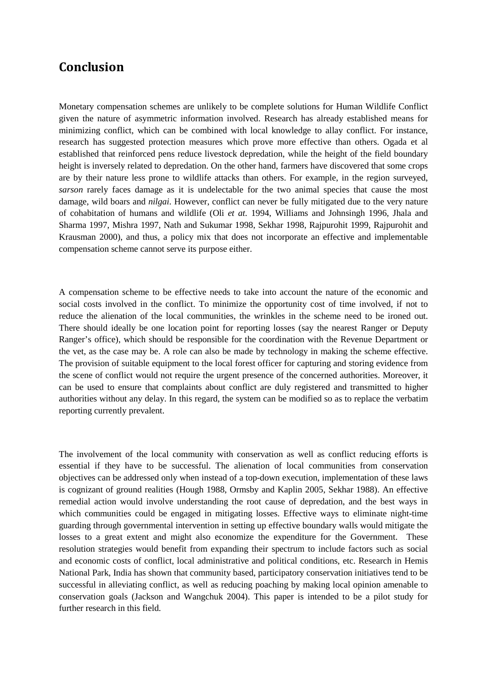## <span id="page-19-0"></span>**Conclusion**

Monetary compensation schemes are unlikely to be complete solutions for Human Wildlife Conflict given the nature of asymmetric information involved. Research has already established means for minimizing conflict, which can be combined with local knowledge to allay conflict. For instance, research has suggested protection measures which prove more effective than others. Ogada et al established that reinforced pens reduce livestock depredation, while the height of the field boundary height is inversely related to depredation. On the other hand, farmers have discovered that some crops are by their nature less prone to wildlife attacks than others. For example, in the region surveyed, *sarson* rarely faces damage as it is undelectable for the two animal species that cause the most damage, wild boars and *nilgai.* However, conflict can never be fully mitigated due to the very nature of cohabitation of humans and wildlife (Oli *et at.* 1994, Williams and Johnsingh 1996, Jhala and Sharma 1997, Mishra 1997, Nath and Sukumar 1998, Sekhar 1998, Rajpurohit 1999, Rajpurohit and Krausman 2000), and thus, a policy mix that does not incorporate an effective and implementable compensation scheme cannot serve its purpose either.

A compensation scheme to be effective needs to take into account the nature of the economic and social costs involved in the conflict. To minimize the opportunity cost of time involved, if not to reduce the alienation of the local communities, the wrinkles in the scheme need to be ironed out. There should ideally be one location point for reporting losses (say the nearest Ranger or Deputy Ranger's office), which should be responsible for the coordination with the Revenue Department or the vet, as the case may be. A role can also be made by technology in making the scheme effective. The provision of suitable equipment to the local forest officer for capturing and storing evidence from the scene of conflict would not require the urgent presence of the concerned authorities. Moreover, it can be used to ensure that complaints about conflict are duly registered and transmitted to higher authorities without any delay. In this regard, the system can be modified so as to replace the verbatim reporting currently prevalent.

The involvement of the local community with conservation as well as conflict reducing efforts is essential if they have to be successful. The alienation of local communities from conservation objectives can be addressed only when instead of a top-down execution, implementation of these laws is cognizant of ground realities (Hough 1988, Ormsby and Kaplin 2005, Sekhar 1988). An effective remedial action would involve understanding the root cause of depredation, and the best ways in which communities could be engaged in mitigating losses. Effective ways to eliminate night-time guarding through governmental intervention in setting up effective boundary walls would mitigate the losses to a great extent and might also economize the expenditure for the Government. These resolution strategies would benefit from expanding their spectrum to include factors such as social and economic costs of conflict, local administrative and political conditions, etc. Research in Hemis National Park, India has shown that community based, participatory conservation initiatives tend to be successful in alleviating conflict, as well as reducing poaching by making local opinion amenable to conservation goals (Jackson and Wangchuk 2004). This paper is intended to be a pilot study for further research in this field.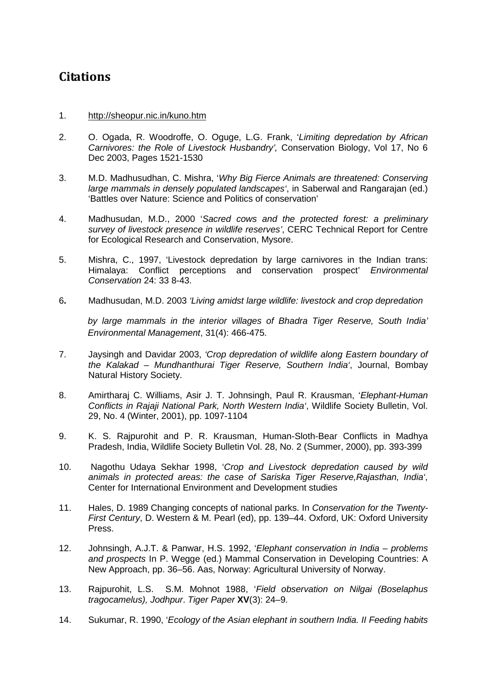# <span id="page-21-0"></span>**Citations**

#### 1. <http://sheopur.nic.in/kuno.htm>

- 2. O. Ogada, R. Woodroffe, O. Oguge, L.G. Frank, '*Limiting depredation by African Carnivores: the Role of Livestock Husbandry',* Conservation Biology, Vol 17, No 6 Dec 2003, Pages 1521-1530
- 3. M.D. Madhusudhan, C. Mishra, '*Why Big Fierce Animals are threatened: Conserving large mammals in densely populated landscapes'*, in Saberwal and Rangarajan (ed.) 'Battles over Nature: Science and Politics of conservation'
- 4. Madhusudan, M.D., 2000 '*Sacred cows and the protected forest: a preliminary survey of livestock presence in wildlife reserves'*, CERC Technical Report for Centre for Ecological Research and Conservation, Mysore.
- 5. Mishra, C., 1997, 'Livestock depredation by large carnivores in the Indian trans: Himalaya: Conflict perceptions and conservation prospect' *Environmental Conservation* 24: 33 8-43.
- 6**.** Madhusudan, M.D. 2003 *'Living amidst large wildlife: livestock and crop depredation*

*by large mammals in the interior villages of Bhadra Tiger Reserve, South India' Environmental Management*, 31(4): 466-475.

- 7. Jaysingh and Davidar 2003, *'Crop depredation of wildlife along Eastern boundary of the Kalakad – Mundhanthurai Tiger Reserve, Southern India'*, Journal, Bombay Natural History Society.
- 8. Amirtharaj C. Williams, Asir J. T. Johnsingh, Paul R. Krausman, '*Elephant-Human Conflicts in Rajaji National Park, North Western India'*, [Wildlife Society Bulletin,](http://www.jstor.org/action/showPublication?journalCode=wildsocibull) Vol. 29, No. 4 (Winter, 2001), pp. 1097-1104
- 9. K. S. Rajpurohit and P. R. Krausman, Human-Sloth-Bear Conflicts in Madhya Pradesh, India, [Wildlife Society Bulletin](http://www.jstor.org/action/showPublication?journalCode=wildsocibull) Vol. 28, No. 2 (Summer, 2000), pp. 393-399
- 10. Nagothu Udaya Sekhar 1998, '*Crop and Livestock depredation caused by wild animals in protected areas: the case of Sariska Tiger Reserve,Rajasthan, India'*, Center for International Environment and Development studies
- 11. Hales, D. 1989 Changing concepts of national parks. In *Conservation for the Twenty-First Century*, D. Western & M. Pearl (ed), pp. 139–44. Oxford, UK: Oxford University Press.
- 12. Johnsingh, A.J.T. & Panwar, H.S. 1992, '*Elephant conservation in India – problems and prospects* In P. Wegge (ed.) Mammal Conservation in Developing Countries: A New Approach, pp. 36–56. Aas, Norway: Agricultural University of Norway.
- 13. Rajpurohit, L.S. S.M. Mohnot 1988, '*Field observation on Nilgai (Boselaphus tragocamelus), Jodhpur*. *Tiger Paper* **XV**(3): 24–9.
- 14. Sukumar, R. 1990, '*Ecology of the Asian elephant in southern India. II Feeding habits*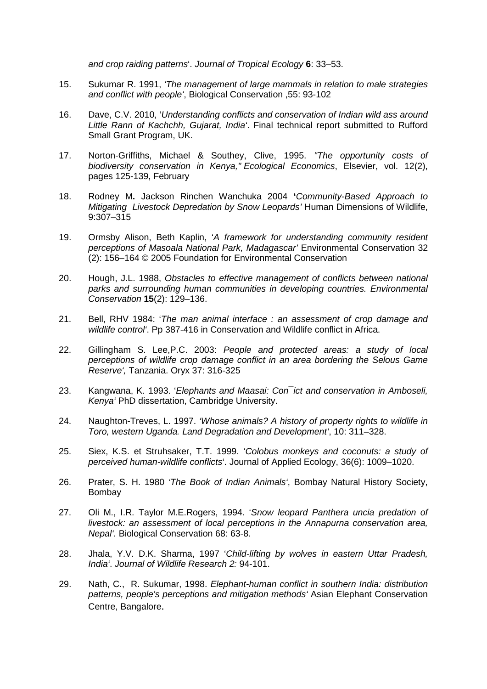*and crop raiding patterns*'. *Journal of Tropical Ecology* **6**: 33–53.

- 15. Sukumar R. 1991, *'The management of large mammals in relation to male strategies and conflict with people'*, Biological Conservation ,55: 93-102
- 16. Dave, C.V. 2010, '*Understanding conflicts and conservation of Indian wild ass around Little Rann of Kachchh, Gujarat, India'*. Final technical report submitted to Rufford Small Grant Program, UK.
- 17. Norton-Griffiths, Michael & Southey, Clive, 1995. *["The opportunity costs of](http://ideas.repec.org/a/eee/ecolec/v12y1995i2p125-139.html)  [biodiversity conservation in Kenya,](http://ideas.repec.org/a/eee/ecolec/v12y1995i2p125-139.html)" [Ecological Economics](http://ideas.repec.org/s/eee/ecolec.html)*, Elsevier, vol. 12(2), pages 125-139, February
- 18. Rodney M**.** Jackson Rinchen Wanchuka 2004 **'***Community-Based Approach to Mitigating Livestock Depredation by Snow Leopards'* Human Dimensions of Wildlife, 9:307–315
- 19. Ormsby Alison, Beth Kaplin, '*A framework for understanding community resident perceptions of Masoala National Park, Madagascar'* Environmental Conservation 32 (2): 156–164 © 2005 Foundation for Environmental Conservation
- 20. Hough, J.L. 1988, *Obstacles to effective management of conflicts between national parks and surrounding human communities in developing countries. Environmental Conservation* **15**(2): 129–136.
- 21. Bell, RHV 1984: '*The man animal interface : an assessment of crop damage and wildlife control'*. Pp 387-416 in Conservation and Wildlife conflict in Africa.
- 22. Gillingham S. Lee,P.C. 2003: *People and protected areas: a study of local perceptions of wildlife crop damage conflict in an area bordering the Selous Game Reserve',* Tanzania. Oryx 37: 316-325
- 23. Kangwana, K. 1993. '*Elephants and Maasai: Con¯ict and conservation in Amboseli, Kenya'* PhD dissertation, Cambridge University.
- 24. Naughton-Treves, L. 1997. *'Whose animals? A history of property rights to wildlife in Toro, western Uganda. Land Degradation and Development'*, 10: 311–328.
- 25. Siex, K.S. et Struhsaker, T.T. 1999. '*Colobus monkeys and coconuts: a study of perceived human-wildlife conflicts*'. Journal of Applied Ecology, 36(6): 1009–1020.
- 26. Prater, S. H. 1980 *'The Book of Indian Animals'*, Bombay Natural History Society, Bombay
- 27. Oli M., I.R. Taylor M.E.Rogers, 1994. '*Snow leopard Panthera uncia predation of livestock: an assessment of local perceptions in the Annapurna conservation area, Nepal'.* Biological Conservation 68: 63-8.
- 28. Jhala, Y.V. D.K. Sharma, 1997 '*Child-lifting by wolves in eastern Uttar Pradesh, India'*. *Journal of Wildlife Research 2:* 94-101.
- 29. Nath, C., R. Sukumar, 1998. *Elephant-human conflict in southern India: distribution patterns, people's perceptions and mitigation methods'* Asian Elephant Conservation Centre, Bangalore.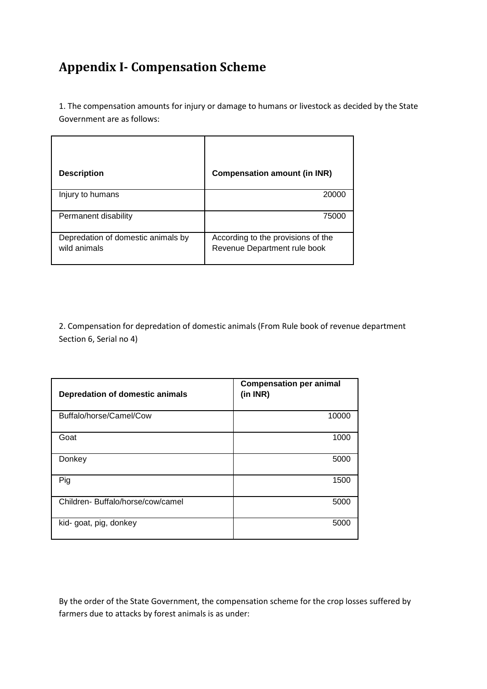# <span id="page-23-0"></span>**Appendix I- Compensation Scheme**

1. The compensation amounts for injury or damage to humans or livestock as decided by the State Government are as follows:

| <b>Description</b>                                 | <b>Compensation amount (in INR)</b>                                |
|----------------------------------------------------|--------------------------------------------------------------------|
| Injury to humans                                   | 20000                                                              |
| Permanent disability                               | 75000                                                              |
| Depredation of domestic animals by<br>wild animals | According to the provisions of the<br>Revenue Department rule book |

2. Compensation for depredation of domestic animals (From Rule book of revenue department Section 6, Serial no 4)

| Depredation of domestic animals  | <b>Compensation per animal</b><br>(in INR) |
|----------------------------------|--------------------------------------------|
| Buffalo/horse/Camel/Cow          | 10000                                      |
| Goat                             | 1000                                       |
| Donkey                           | 5000                                       |
| Pig                              | 1500                                       |
| Children-Buffalo/horse/cow/camel | 5000                                       |
| kid- goat, pig, donkey           | 5000                                       |

By the order of the State Government, the compensation scheme for the crop losses suffered by farmers due to attacks by forest animals is as under: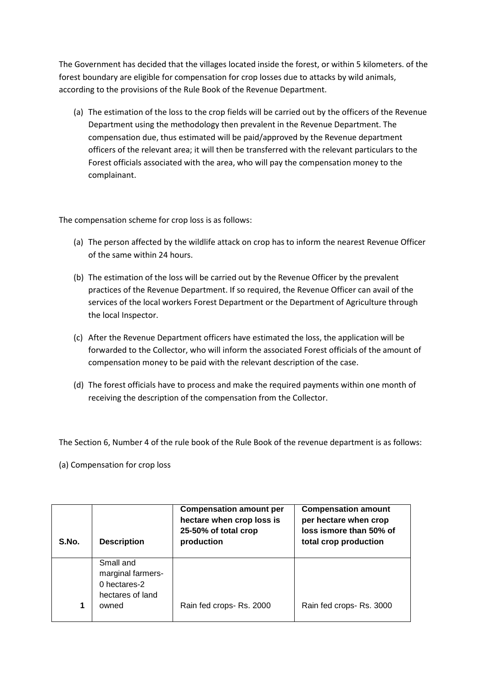The Government has decided that the villages located inside the forest, or within 5 kilometers. of the forest boundary are eligible for compensation for crop losses due to attacks by wild animals, according to the provisions of the Rule Book of the Revenue Department.

(a) The estimation of the loss to the crop fields will be carried out by the officers of the Revenue Department using the methodology then prevalent in the Revenue Department. The compensation due, thus estimated will be paid/approved by the Revenue department officers of the relevant area; it will then be transferred with the relevant particulars to the Forest officials associated with the area, who will pay the compensation money to the complainant.

The compensation scheme for crop loss is as follows:

- (a) The person affected by the wildlife attack on crop has to inform the nearest Revenue Officer of the same within 24 hours.
- (b) The estimation of the loss will be carried out by the Revenue Officer by the prevalent practices of the Revenue Department. If so required, the Revenue Officer can avail of the services of the local workers Forest Department or the Department of Agriculture through the local Inspector.
- (c) After the Revenue Department officers have estimated the loss, the application will be forwarded to the Collector, who will inform the associated Forest officials of the amount of compensation money to be paid with the relevant description of the case.
- (d) The forest officials have to process and make the required payments within one month of receiving the description of the compensation from the Collector.

The Section 6, Number 4 of the rule book of the Rule Book of the revenue department is as follows:

(a) Compensation for crop loss

| S.No. | <b>Description</b>                                                          | <b>Compensation amount per</b><br>hectare when crop loss is<br>25-50% of total crop<br>production | <b>Compensation amount</b><br>per hectare when crop<br>loss ismore than 50% of<br>total crop production |
|-------|-----------------------------------------------------------------------------|---------------------------------------------------------------------------------------------------|---------------------------------------------------------------------------------------------------------|
| 1     | Small and<br>marginal farmers-<br>0 hectares-2<br>hectares of land<br>owned | Rain fed crops-Rs. 2000                                                                           | Rain fed crops- Rs. 3000                                                                                |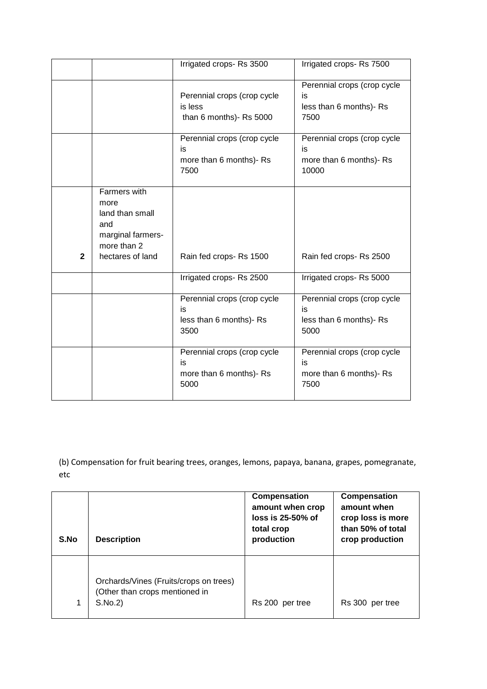|              |                                                                                                        | Irrigated crops-Rs 3500                                              | Irrigated crops-Rs 7500                                               |
|--------------|--------------------------------------------------------------------------------------------------------|----------------------------------------------------------------------|-----------------------------------------------------------------------|
|              |                                                                                                        | Perennial crops (crop cycle<br>is less<br>than 6 months)- Rs 5000    | Perennial crops (crop cycle<br>is<br>less than 6 months)- Rs<br>7500  |
|              |                                                                                                        | Perennial crops (crop cycle<br>is<br>more than 6 months)- Rs<br>7500 | Perennial crops (crop cycle<br>is<br>more than 6 months)- Rs<br>10000 |
| $\mathbf{2}$ | Farmers with<br>more<br>land than small<br>and<br>marginal farmers-<br>more than 2<br>hectares of land | Rain fed crops-Rs 1500                                               | Rain fed crops-Rs 2500                                                |
|              |                                                                                                        | Irrigated crops-Rs 2500                                              | Irrigated crops-Rs 5000                                               |
|              |                                                                                                        | Perennial crops (crop cycle<br>is<br>less than 6 months)- Rs<br>3500 | Perennial crops (crop cycle<br>is<br>less than 6 months)- Rs<br>5000  |
|              |                                                                                                        | Perennial crops (crop cycle<br>is<br>more than 6 months)- Rs<br>5000 | Perennial crops (crop cycle<br>is<br>more than 6 months)- Rs<br>7500  |

(b) Compensation for fruit bearing trees, oranges, lemons, papaya, banana, grapes, pomegranate, etc

| S.No | <b>Description</b>                                                                  | Compensation<br>amount when crop<br>$loss$ is 25-50% of<br>total crop<br>production | Compensation<br>amount when<br>crop loss is more<br>than 50% of total<br>crop production |
|------|-------------------------------------------------------------------------------------|-------------------------------------------------------------------------------------|------------------------------------------------------------------------------------------|
| 1    | Orchards/Vines (Fruits/crops on trees)<br>(Other than crops mentioned in<br>S.No.2) | Rs 200 per tree                                                                     | Rs 300 per tree                                                                          |